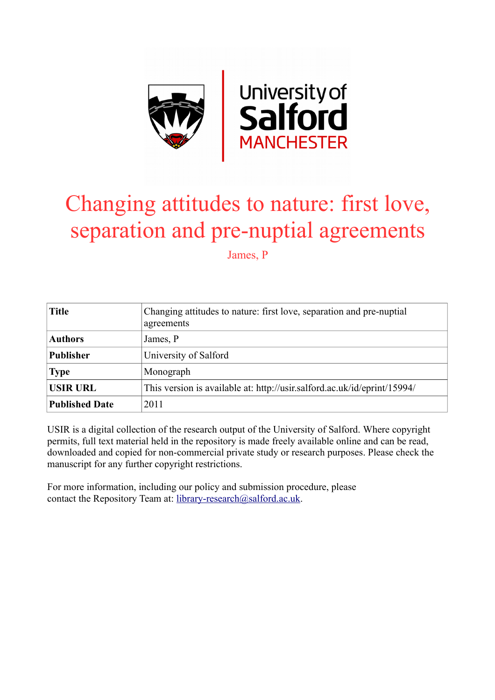

# Changing attitudes to nature: first love, separation and pre-nuptial agreements

James, P

| <b>Title</b>          | Changing attitudes to nature: first love, separation and pre-nuptial<br>agreements |
|-----------------------|------------------------------------------------------------------------------------|
| <b>Authors</b>        | James, P                                                                           |
| <b>Publisher</b>      | University of Salford                                                              |
| <b>Type</b>           | Monograph                                                                          |
| <b>USIR URL</b>       | This version is available at: http://usir.salford.ac.uk/id/eprint/15994/           |
| <b>Published Date</b> | 2011                                                                               |

USIR is a digital collection of the research output of the University of Salford. Where copyright permits, full text material held in the repository is made freely available online and can be read, downloaded and copied for non-commercial private study or research purposes. Please check the manuscript for any further copyright restrictions.

For more information, including our policy and submission procedure, please contact the Repository Team at: [library-research@salford.ac.uk.](mailto:library-research@salford.ac.uk)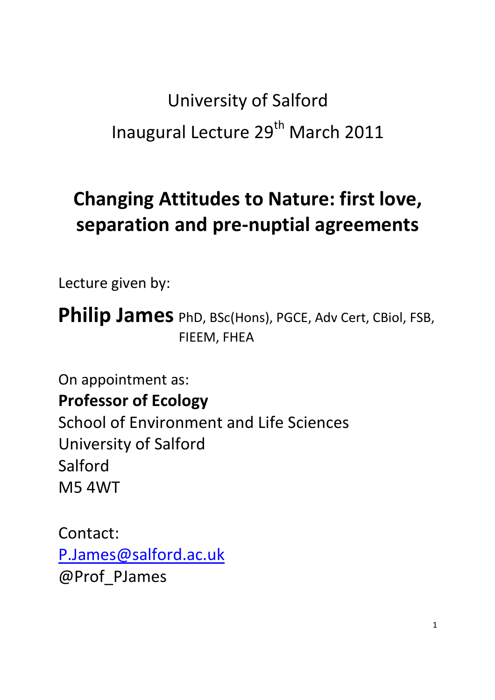# **University of Salford** Inaugural Lecture 29<sup>th</sup> March 2011

# **Changing Attitudes to Nature: first love,** separation and pre-nuptial agreements

Lecture given by:

**Philip James** PhD, BSc(Hons), PGCE, Adv Cert, CBiol, FSB, FIEEM, FHEA

On appointment as: **Professor of Ecology School of Environment and Life Sciences University of Salford** Salford **M54WT** 

Contact: P.James@salford.ac.uk @Prof PJames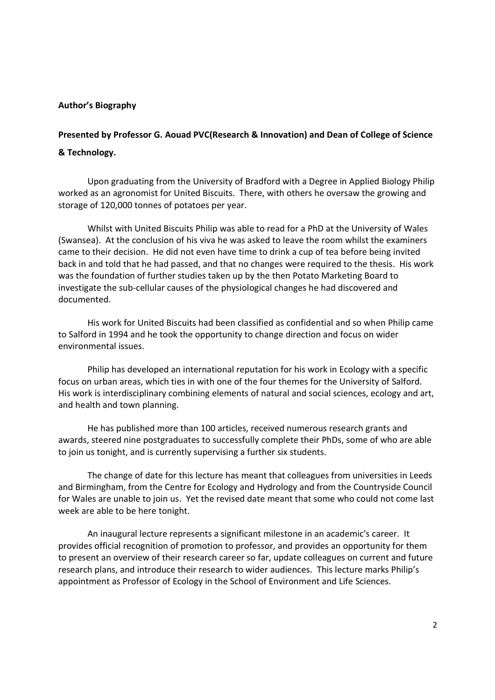### **Author's Biography**

## Presented by Professor G. Aouad PVC(Research & Innovation) and Dean of College of Science & Technology.

Upon graduating from the University of Bradford with a Degree in Applied Biology Philip worked as an agronomist for United Biscuits. There, with others he oversaw the growing and storage of 120,000 tonnes of potatoes per year.

Whilst with United Biscuits Philip was able to read for a PhD at the University of Wales (Swansea). At the conclusion of his viva he was asked to leave the room whilst the examiners came to their decision. He did not even have time to drink a cup of tea before being invited back in and told that he had passed, and that no changes were required to the thesis. His work was the foundation of further studies taken up by the then Potato Marketing Board to investigate the sub-cellular causes of the physiological changes he had discovered and documented.

His work for United Biscuits had been classified as confidential and so when Philip came to Salford in 1994 and he took the opportunity to change direction and focus on wider environmental issues.

Philip has developed an international reputation for his work in Ecology with a specific focus on urban areas, which ties in with one of the four themes for the University of Salford. His work is interdisciplinary combining elements of natural and social sciences, ecology and art, and health and town planning.

He has published more than 100 articles, received numerous research grants and awards, steered nine postgraduates to successfully complete their PhDs, some of who are able to join us tonight, and is currently supervising a further six students.

The change of date for this lecture has meant that colleagues from universities in Leeds and Birmingham, from the Centre for Ecology and Hydrology and from the Countryside Council for Wales are unable to join us. Yet the revised date meant that some who could not come last week are able to be here tonight.

An inaugural lecture represents a significant milestone in an academic's career. It provides official recognition of promotion to professor, and provides an opportunity for them to present an overview of their research career so far, update colleagues on current and future research plans, and introduce their research to wider audiences. This lecture marks Philip's appointment as Professor of Ecology in the School of Environment and Life Sciences.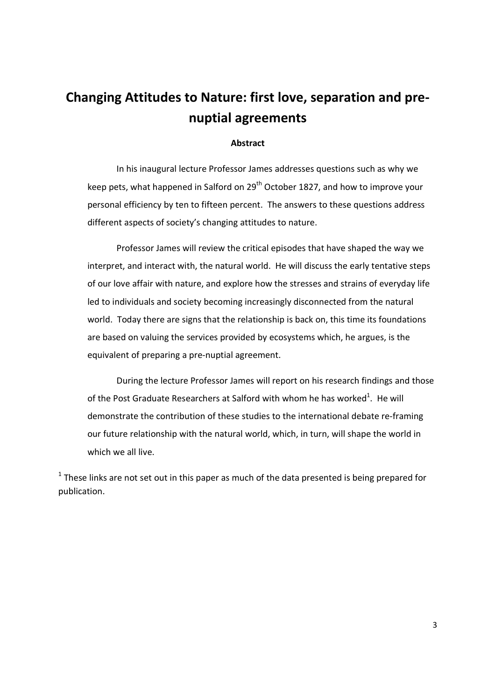# Changing Attitudes to Nature: first love, separation and prenuptial agreements

#### **Abstract**

In his inaugural lecture Professor James addresses questions such as why we keep pets, what happened in Salford on 29<sup>th</sup> October 1827, and how to improve your personal efficiency by ten to fifteen percent. The answers to these questions address different aspects of society's changing attitudes to nature.

Professor James will review the critical episodes that have shaped the way we interpret, and interact with, the natural world. He will discuss the early tentative steps of our love affair with nature, and explore how the stresses and strains of everyday life led to individuals and society becoming increasingly disconnected from the natural world. Today there are signs that the relationship is back on, this time its foundations are based on valuing the services provided by ecosystems which, he argues, is the equivalent of preparing a pre-nuptial agreement.

During the lecture Professor James will report on his research findings and those of the Post Graduate Researchers at Salford with whom he has worked<sup>1</sup>. He will demonstrate the contribution of these studies to the international debate re-framing our future relationship with the natural world, which, in turn, will shape the world in which we all live.

 $1$  These links are not set out in this paper as much of the data presented is being prepared for publication.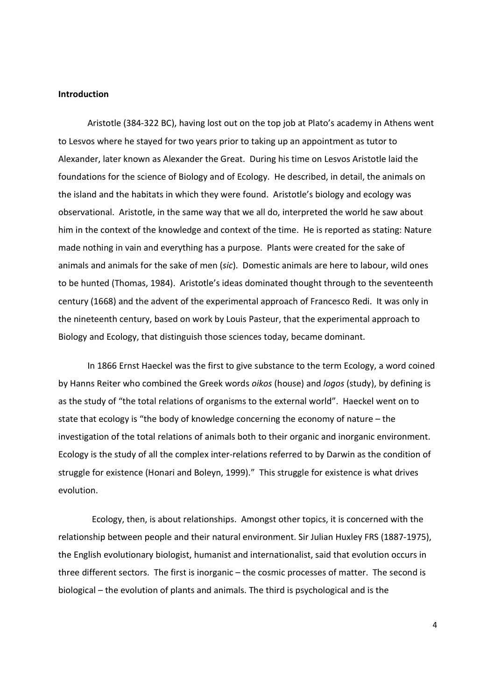#### **Introduction**

Aristotle (384-322 BC), having lost out on the top job at Plato's academy in Athens went to Lesvos where he stayed for two years prior to taking up an appointment as tutor to Alexander, later known as Alexander the Great. During his time on Lesvos Aristotle laid the foundations for the science of Biology and of Ecology. He described, in detail, the animals on the island and the habitats in which they were found. Aristotle's biology and ecology was observational. Aristotle, in the same way that we all do, interpreted the world he saw about him in the context of the knowledge and context of the time. He is reported as stating: Nature made nothing in vain and everything has a purpose. Plants were created for the sake of animals and animals for the sake of men (sic). Domestic animals are here to labour, wild ones to be hunted (Thomas, 1984). Aristotle's ideas dominated thought through to the seventeenth century (1668) and the advent of the experimental approach of Francesco Redi. It was only in the nineteenth century, based on work by Louis Pasteur, that the experimental approach to Biology and Ecology, that distinguish those sciences today, became dominant.

In 1866 Ernst Haeckel was the first to give substance to the term Ecology, a word coined by Hanns Reiter who combined the Greek words oikos (house) and logos (study), by defining is as the study of "the total relations of organisms to the external world". Haeckel went on to state that ecology is "the body of knowledge concerning the economy of nature  $-$  the investigation of the total relations of animals both to their organic and inorganic environment. Ecology is the study of all the complex inter-relations referred to by Darwin as the condition of struggle for existence (Honari and Boleyn, 1999)." This struggle for existence is what drives evolution.

Ecology, then, is about relationships. Amongst other topics, it is concerned with the relationship between people and their natural environment. Sir Julian Huxley FRS (1887-1975), the English evolutionary biologist, humanist and internationalist, said that evolution occurs in three different sectors. The first is inorganic - the cosmic processes of matter. The second is biological – the evolution of plants and animals. The third is psychological and is the

 $\overline{4}$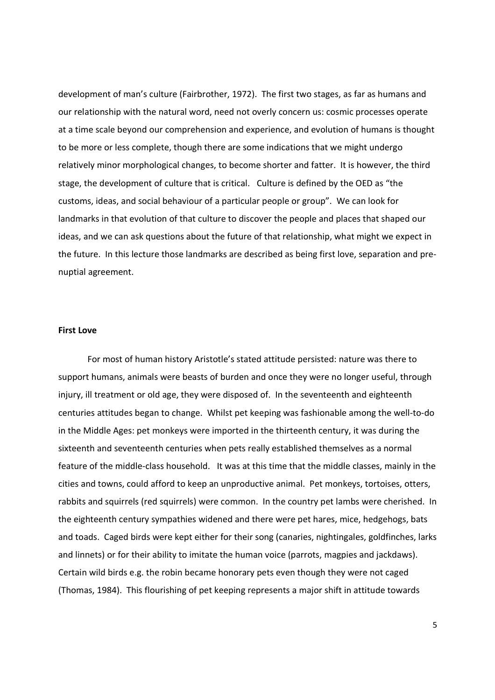development of man's culture (Fairbrother, 1972). The first two stages, as far as humans and our relationship with the natural word, need not overly concern us: cosmic processes operate at a time scale beyond our comprehension and experience, and evolution of humans is thought to be more or less complete, though there are some indications that we might undergo relatively minor morphological changes, to become shorter and fatter. It is however, the third stage, the development of culture that is critical. Culture is defined by the OED as "the customs, ideas, and social behaviour of a particular people or group". We can look for landmarks in that evolution of that culture to discover the people and places that shaped our ideas, and we can ask questions about the future of that relationship, what might we expect in the future. In this lecture those landmarks are described as being first love, separation and prenuptial agreement.

#### **First Love**

For most of human history Aristotle's stated attitude persisted: nature was there to support humans, animals were beasts of burden and once they were no longer useful, through injury, ill treatment or old age, they were disposed of. In the seventeenth and eighteenth centuries attitudes began to change. Whilst pet keeping was fashionable among the well-to-do in the Middle Ages: pet monkeys were imported in the thirteenth century, it was during the sixteenth and seventeenth centuries when pets really established themselves as a normal feature of the middle-class household. It was at this time that the middle classes, mainly in the cities and towns, could afford to keep an unproductive animal. Pet monkeys, tortoises, otters, rabbits and squirrels (red squirrels) were common. In the country pet lambs were cherished. In the eighteenth century sympathies widened and there were pet hares, mice, hedgehogs, bats and toads. Caged birds were kept either for their song (canaries, nightingales, goldfinches, larks and linnets) or for their ability to imitate the human voice (parrots, magpies and jackdaws). Certain wild birds e.g. the robin became honorary pets even though they were not caged (Thomas, 1984). This flourishing of pet keeping represents a major shift in attitude towards

5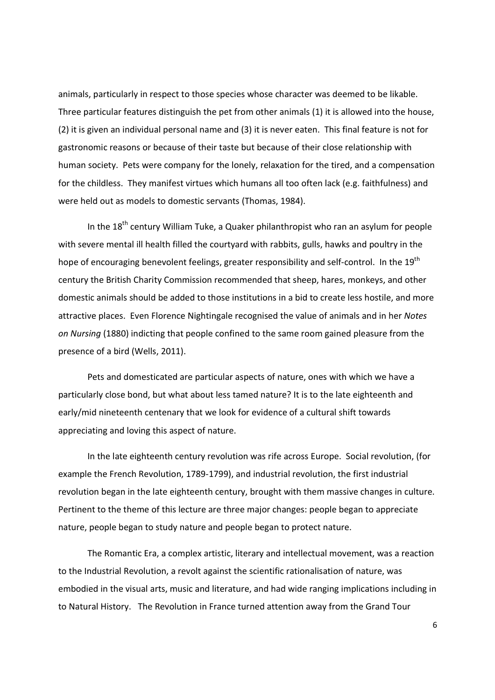animals, particularly in respect to those species whose character was deemed to be likable. Three particular features distinguish the pet from other animals (1) it is allowed into the house, (2) it is given an individual personal name and (3) it is never eaten. This final feature is not for gastronomic reasons or because of their taste but because of their close relationship with human society. Pets were company for the lonely, relaxation for the tired, and a compensation for the childless. They manifest virtues which humans all too often lack (e.g. faithfulness) and were held out as models to domestic servants (Thomas, 1984).

In the 18<sup>th</sup> century William Tuke, a Quaker philanthropist who ran an asylum for people with severe mental ill health filled the courtyard with rabbits, gulls, hawks and poultry in the hope of encouraging benevolent feelings, greater responsibility and self-control. In the 19<sup>th</sup> century the British Charity Commission recommended that sheep, hares, monkeys, and other domestic animals should be added to those institutions in a bid to create less hostile, and more attractive places. Even Florence Nightingale recognised the value of animals and in her Notes on Nursing (1880) indicting that people confined to the same room gained pleasure from the presence of a bird (Wells, 2011).

Pets and domesticated are particular aspects of nature, ones with which we have a particularly close bond, but what about less tamed nature? It is to the late eighteenth and early/mid nineteenth centenary that we look for evidence of a cultural shift towards appreciating and loving this aspect of nature.

In the late eighteenth century revolution was rife across Europe. Social revolution, (for example the French Revolution, 1789-1799), and industrial revolution, the first industrial revolution began in the late eighteenth century, brought with them massive changes in culture. Pertinent to the theme of this lecture are three major changes: people began to appreciate nature, people began to study nature and people began to protect nature.

The Romantic Era, a complex artistic, literary and intellectual movement, was a reaction to the Industrial Revolution, a revolt against the scientific rationalisation of nature, was embodied in the visual arts, music and literature, and had wide ranging implications including in to Natural History. The Revolution in France turned attention away from the Grand Tour

 $6\overline{6}$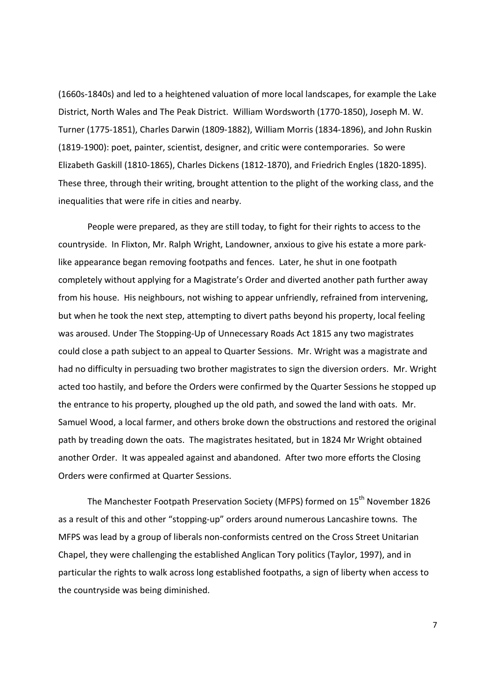(1660s-1840s) and led to a heightened valuation of more local landscapes, for example the Lake District, North Wales and The Peak District. William Wordsworth (1770-1850), Joseph M. W. Turner (1775-1851), Charles Darwin (1809-1882), William Morris (1834-1896), and John Ruskin (1819-1900): poet, painter, scientist, designer, and critic were contemporaries. So were Elizabeth Gaskill (1810-1865), Charles Dickens (1812-1870), and Friedrich Engles (1820-1895). These three, through their writing, brought attention to the plight of the working class, and the inequalities that were rife in cities and nearby.

People were prepared, as they are still today, to fight for their rights to access to the countryside. In Flixton, Mr. Ralph Wright, Landowner, anxious to give his estate a more parklike appearance began removing footpaths and fences. Later, he shut in one footpath completely without applying for a Magistrate's Order and diverted another path further away from his house. His neighbours, not wishing to appear unfriendly, refrained from intervening, but when he took the next step, attempting to divert paths beyond his property, local feeling was aroused. Under The Stopping-Up of Unnecessary Roads Act 1815 any two magistrates could close a path subject to an appeal to Quarter Sessions. Mr. Wright was a magistrate and had no difficulty in persuading two brother magistrates to sign the diversion orders. Mr. Wright acted too hastily, and before the Orders were confirmed by the Quarter Sessions he stopped up the entrance to his property, ploughed up the old path, and sowed the land with oats. Mr. Samuel Wood, a local farmer, and others broke down the obstructions and restored the original path by treading down the oats. The magistrates hesitated, but in 1824 Mr Wright obtained another Order. It was appealed against and abandoned. After two more efforts the Closing Orders were confirmed at Quarter Sessions.

The Manchester Footpath Preservation Society (MFPS) formed on 15<sup>th</sup> November 1826 as a result of this and other "stopping-up" orders around numerous Lancashire towns. The MFPS was lead by a group of liberals non-conformists centred on the Cross Street Unitarian Chapel, they were challenging the established Anglican Tory politics (Taylor, 1997), and in particular the rights to walk across long established footpaths, a sign of liberty when access to the countryside was being diminished.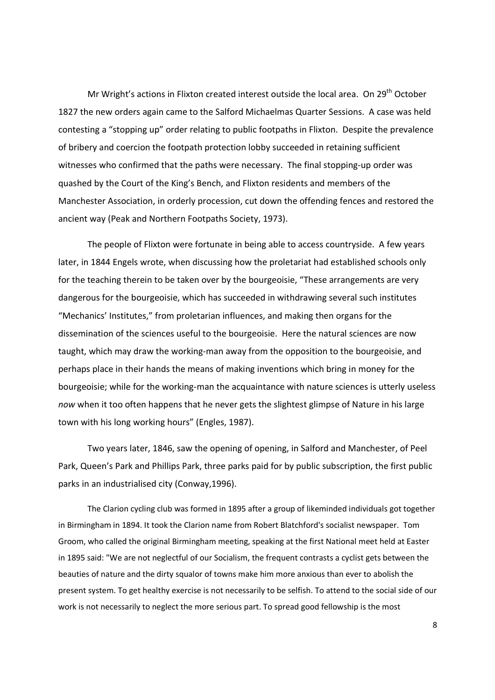Mr Wright's actions in Flixton created interest outside the local area. On 29<sup>th</sup> October 1827 the new orders again came to the Salford Michaelmas Quarter Sessions. A case was held contesting a "stopping up" order relating to public footpaths in Flixton. Despite the prevalence of bribery and coercion the footpath protection lobby succeeded in retaining sufficient witnesses who confirmed that the paths were necessary. The final stopping-up order was quashed by the Court of the King's Bench, and Flixton residents and members of the Manchester Association, in orderly procession, cut down the offending fences and restored the ancient way (Peak and Northern Footpaths Society, 1973).

The people of Flixton were fortunate in being able to access countryside. A few years later, in 1844 Engels wrote, when discussing how the proletariat had established schools only for the teaching therein to be taken over by the bourgeoisie, "These arrangements are very dangerous for the bourgeoisie, which has succeeded in withdrawing several such institutes "Mechanics' Institutes," from proletarian influences, and making then organs for the dissemination of the sciences useful to the bourgeoisie. Here the natural sciences are now taught, which may draw the working-man away from the opposition to the bourgeoisie, and perhaps place in their hands the means of making inventions which bring in money for the bourgeoisie; while for the working-man the acquaintance with nature sciences is utterly useless now when it too often happens that he never gets the slightest glimpse of Nature in his large town with his long working hours" (Engles, 1987).

Two years later, 1846, saw the opening of opening, in Salford and Manchester, of Peel Park, Queen's Park and Phillips Park, three parks paid for by public subscription, the first public parks in an industrialised city (Conway, 1996).

The Clarion cycling club was formed in 1895 after a group of likeminded individuals got together in Birmingham in 1894. It took the Clarion name from Robert Blatchford's socialist newspaper. Tom Groom, who called the original Birmingham meeting, speaking at the first National meet held at Easter in 1895 said: "We are not neglectful of our Socialism, the frequent contrasts a cyclist gets between the beauties of nature and the dirty squalor of towns make him more anxious than ever to abolish the present system. To get healthy exercise is not necessarily to be selfish. To attend to the social side of our work is not necessarily to neglect the more serious part. To spread good fellowship is the most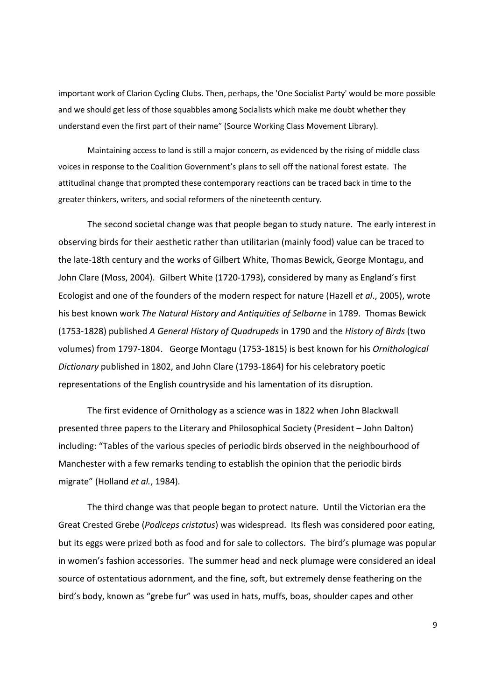important work of Clarion Cycling Clubs. Then, perhaps, the 'One Socialist Party' would be more possible and we should get less of those squabbles among Socialists which make me doubt whether they understand even the first part of their name" (Source Working Class Movement Library).

Maintaining access to land is still a major concern, as evidenced by the rising of middle class voices in response to the Coalition Government's plans to sell off the national forest estate. The attitudinal change that prompted these contemporary reactions can be traced back in time to the greater thinkers, writers, and social reformers of the nineteenth century.

The second societal change was that people began to study nature. The early interest in observing birds for their aesthetic rather than utilitarian (mainly food) value can be traced to the late-18th century and the works of Gilbert White, Thomas Bewick, George Montagu, and John Clare (Moss, 2004). Gilbert White (1720-1793), considered by many as England's first Ecologist and one of the founders of the modern respect for nature (Hazell et al., 2005), wrote his best known work The Natural History and Antiquities of Selborne in 1789. Thomas Bewick (1753-1828) published A General History of Quadrupeds in 1790 and the History of Birds (two volumes) from 1797-1804. George Montagu (1753-1815) is best known for his Ornithological Dictionary published in 1802, and John Clare (1793-1864) for his celebratory poetic representations of the English countryside and his lamentation of its disruption.

The first evidence of Ornithology as a science was in 1822 when John Blackwall presented three papers to the Literary and Philosophical Society (President - John Dalton) including: "Tables of the various species of periodic birds observed in the neighbourhood of Manchester with a few remarks tending to establish the opinion that the periodic birds migrate" (Holland et al., 1984).

The third change was that people began to protect nature. Until the Victorian era the Great Crested Grebe (Podiceps cristatus) was widespread. Its flesh was considered poor eating, but its eggs were prized both as food and for sale to collectors. The bird's plumage was popular in women's fashion accessories. The summer head and neck plumage were considered an ideal source of ostentatious adornment, and the fine, soft, but extremely dense feathering on the bird's body, known as "grebe fur" was used in hats, muffs, boas, shoulder capes and other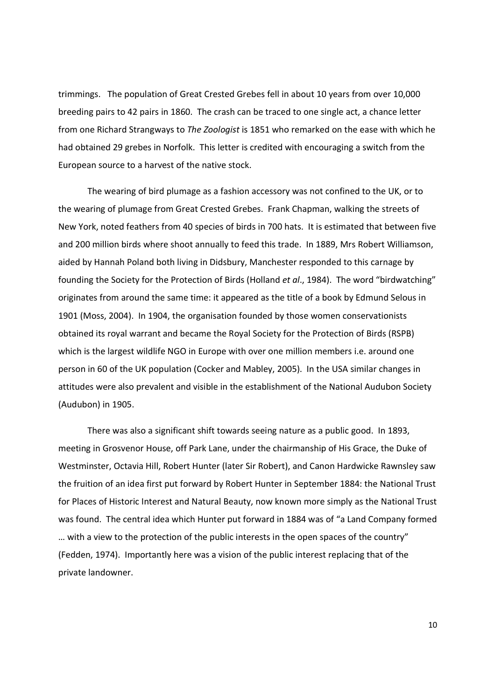trimmings. The population of Great Crested Grebes fell in about 10 years from over 10,000 breeding pairs to 42 pairs in 1860. The crash can be traced to one single act, a chance letter from one Richard Strangways to The Zoologist is 1851 who remarked on the ease with which he had obtained 29 grebes in Norfolk. This letter is credited with encouraging a switch from the European source to a harvest of the native stock.

The wearing of bird plumage as a fashion accessory was not confined to the UK, or to the wearing of plumage from Great Crested Grebes. Frank Chapman, walking the streets of New York, noted feathers from 40 species of birds in 700 hats. It is estimated that between five and 200 million birds where shoot annually to feed this trade. In 1889, Mrs Robert Williamson, aided by Hannah Poland both living in Didsbury, Manchester responded to this carnage by founding the Society for the Protection of Birds (Holland et al., 1984). The word "birdwatching" originates from around the same time: it appeared as the title of a book by Edmund Selous in 1901 (Moss, 2004). In 1904, the organisation founded by those women conservationists obtained its royal warrant and became the Royal Society for the Protection of Birds (RSPB) which is the largest wildlife NGO in Europe with over one million members i.e. around one person in 60 of the UK population (Cocker and Mabley, 2005). In the USA similar changes in attitudes were also prevalent and visible in the establishment of the National Audubon Society (Audubon) in 1905.

There was also a significant shift towards seeing nature as a public good. In 1893, meeting in Grosvenor House, off Park Lane, under the chairmanship of His Grace, the Duke of Westminster, Octavia Hill, Robert Hunter (later Sir Robert), and Canon Hardwicke Rawnsley saw the fruition of an idea first put forward by Robert Hunter in September 1884: the National Trust for Places of Historic Interest and Natural Beauty, now known more simply as the National Trust was found. The central idea which Hunter put forward in 1884 was of "a Land Company formed ... with a view to the protection of the public interests in the open spaces of the country" (Fedden, 1974). Importantly here was a vision of the public interest replacing that of the private landowner.

 $10<sup>1</sup>$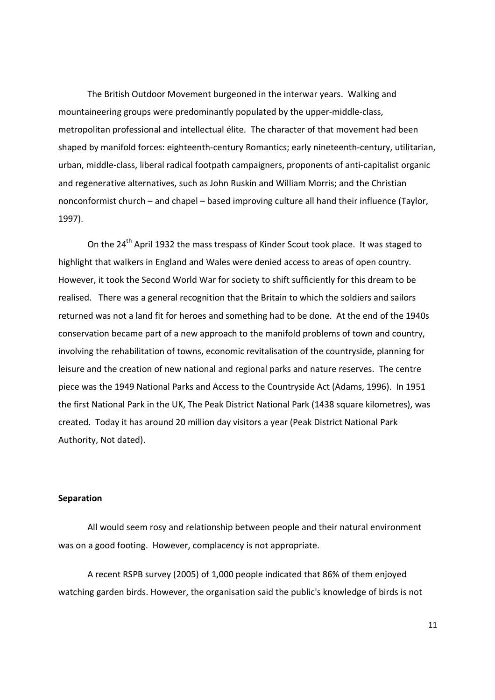The British Outdoor Movement burgeoned in the interwar years. Walking and mountaineering groups were predominantly populated by the upper-middle-class, metropolitan professional and intellectual élite. The character of that movement had been shaped by manifold forces: eighteenth-century Romantics; early nineteenth-century, utilitarian, urban, middle-class, liberal radical footpath campaigners, proponents of anti-capitalist organic and regenerative alternatives, such as John Ruskin and William Morris; and the Christian nonconformist church – and chapel – based improving culture all hand their influence (Taylor, 1997).

On the 24<sup>th</sup> April 1932 the mass trespass of Kinder Scout took place. It was staged to highlight that walkers in England and Wales were denied access to areas of open country. However, it took the Second World War for society to shift sufficiently for this dream to be realised. There was a general recognition that the Britain to which the soldiers and sailors returned was not a land fit for heroes and something had to be done. At the end of the 1940s conservation became part of a new approach to the manifold problems of town and country, involving the rehabilitation of towns, economic revitalisation of the countryside, planning for leisure and the creation of new national and regional parks and nature reserves. The centre piece was the 1949 National Parks and Access to the Countryside Act (Adams, 1996). In 1951 the first National Park in the UK, The Peak District National Park (1438 square kilometres), was created. Today it has around 20 million day visitors a year (Peak District National Park Authority, Not dated).

#### **Separation**

All would seem rosy and relationship between people and their natural environment was on a good footing. However, complacency is not appropriate.

A recent RSPB survey (2005) of 1,000 people indicated that 86% of them enjoyed watching garden birds. However, the organisation said the public's knowledge of birds is not

 $11$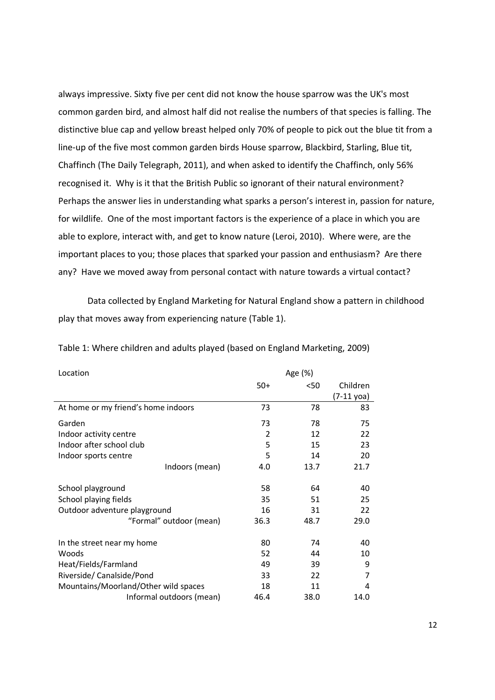always impressive. Sixty five per cent did not know the house sparrow was the UK's most common garden bird, and almost half did not realise the numbers of that species is falling. The distinctive blue cap and yellow breast helped only 70% of people to pick out the blue tit from a line-up of the five most common garden birds House sparrow, Blackbird, Starling, Blue tit, Chaffinch (The Daily Telegraph, 2011), and when asked to identify the Chaffinch, only 56% recognised it. Why is it that the British Public so ignorant of their natural environment? Perhaps the answer lies in understanding what sparks a person's interest in, passion for nature, for wildlife. One of the most important factors is the experience of a place in which you are able to explore, interact with, and get to know nature (Leroi, 2010). Where were, are the important places to you; those places that sparked your passion and enthusiasm? Are there any? Have we moved away from personal contact with nature towards a virtual contact?

Data collected by England Marketing for Natural England show a pattern in childhood play that moves away from experiencing nature (Table 1).

| Location                             |       | Age (%) |                      |
|--------------------------------------|-------|---------|----------------------|
|                                      | $50+$ | <50     | Children             |
|                                      |       |         | $(7-11 \text{ yoa})$ |
| At home or my friend's home indoors  | 73    | 78      | 83                   |
| Garden                               | 73    | 78      | 75                   |
| Indoor activity centre               | 2     | 12      | 22                   |
| Indoor after school club             | 5     | 15      | 23                   |
| Indoor sports centre                 | 5     | 14      | 20                   |
| Indoors (mean)                       | 4.0   | 13.7    | 21.7                 |
| School playground                    | 58    | 64      | 40                   |
| School playing fields                | 35    | 51      | 25                   |
| Outdoor adventure playground         | 16    | 31      | 22                   |
| "Formal" outdoor (mean)              | 36.3  | 48.7    | 29.0                 |
| In the street near my home           | 80    | 74      | 40                   |
| Woods                                | 52    | 44      | 10                   |
| Heat/Fields/Farmland                 | 49    | 39      | 9                    |
| Riverside/Canalside/Pond             | 33    | 22      | 7                    |
| Mountains/Moorland/Other wild spaces | 18    | 11      | 4                    |
| Informal outdoors (mean)             | 46.4  | 38.0    | 14.0                 |

Table 1: Where children and adults played (based on England Marketing, 2009)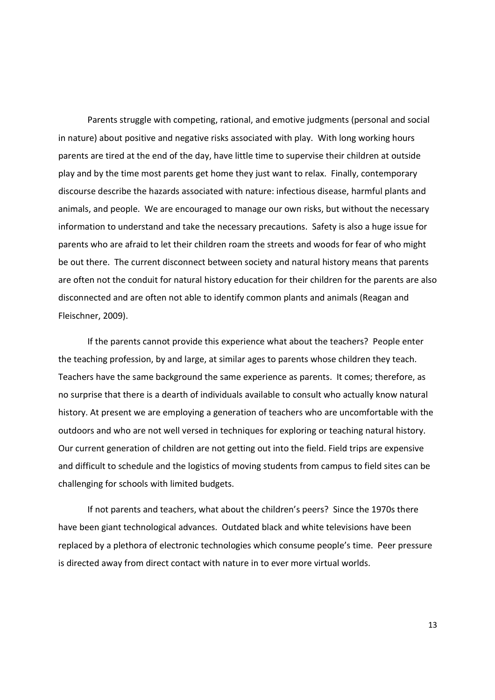Parents struggle with competing, rational, and emotive judgments (personal and social in nature) about positive and negative risks associated with play. With long working hours parents are tired at the end of the day, have little time to supervise their children at outside play and by the time most parents get home they just want to relax. Finally, contemporary discourse describe the hazards associated with nature: infectious disease, harmful plants and animals, and people. We are encouraged to manage our own risks, but without the necessary information to understand and take the necessary precautions. Safety is also a huge issue for parents who are afraid to let their children roam the streets and woods for fear of who might be out there. The current disconnect between society and natural history means that parents are often not the conduit for natural history education for their children for the parents are also disconnected and are often not able to identify common plants and animals (Reagan and Fleischner, 2009).

If the parents cannot provide this experience what about the teachers? People enter the teaching profession, by and large, at similar ages to parents whose children they teach. Teachers have the same background the same experience as parents. It comes; therefore, as no surprise that there is a dearth of individuals available to consult who actually know natural history. At present we are employing a generation of teachers who are uncomfortable with the outdoors and who are not well versed in techniques for exploring or teaching natural history. Our current generation of children are not getting out into the field. Field trips are expensive and difficult to schedule and the logistics of moving students from campus to field sites can be challenging for schools with limited budgets.

If not parents and teachers, what about the children's peers? Since the 1970s there have been giant technological advances. Outdated black and white televisions have been replaced by a plethora of electronic technologies which consume people's time. Peer pressure is directed away from direct contact with nature in to ever more virtual worlds.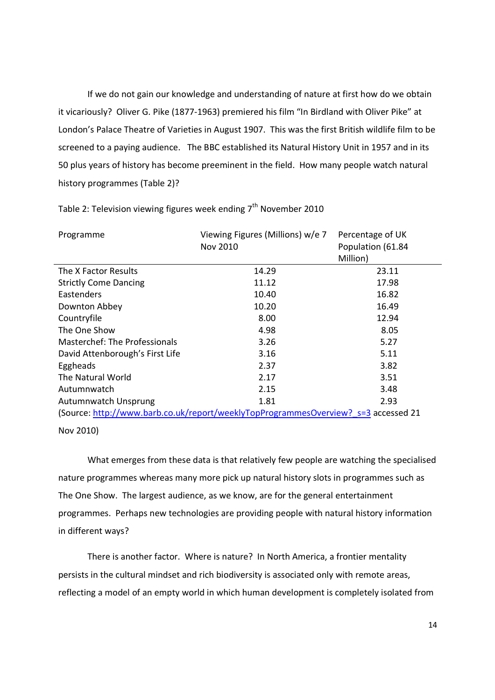If we do not gain our knowledge and understanding of nature at first how do we obtain it vicariously? Oliver G. Pike (1877-1963) premiered his film "In Birdland with Oliver Pike" at London's Palace Theatre of Varieties in August 1907. This was the first British wildlife film to be screened to a paying audience. The BBC established its Natural History Unit in 1957 and in its 50 plus years of history has become preeminent in the field. How many people watch natural history programmes (Table 2)?

| Programme                                                                          | Viewing Figures (Millions) w/e 7 | Percentage of UK  |  |
|------------------------------------------------------------------------------------|----------------------------------|-------------------|--|
|                                                                                    | Nov 2010                         | Population (61.84 |  |
|                                                                                    |                                  | Million)          |  |
| The X Factor Results                                                               | 14.29                            | 23.11             |  |
| <b>Strictly Come Dancing</b>                                                       | 11.12                            | 17.98             |  |
| Eastenders                                                                         | 10.40                            | 16.82             |  |
| Downton Abbey                                                                      | 10.20                            | 16.49             |  |
| Countryfile                                                                        | 8.00                             | 12.94             |  |
| The One Show                                                                       | 4.98                             | 8.05              |  |
| Masterchef: The Professionals                                                      | 3.26                             | 5.27              |  |
| David Attenborough's First Life                                                    | 3.16                             | 5.11              |  |
| Eggheads                                                                           | 2.37                             | 3.82              |  |
| The Natural World                                                                  | 2.17                             | 3.51              |  |
| Autumnwatch                                                                        | 2.15                             | 3.48              |  |
| <b>Autumnwatch Unsprung</b>                                                        | 1.81                             | 2.93              |  |
| (Source: http://www.barb.co.uk/report/weeklyTopProgrammesOverview? s=3 accessed 21 |                                  |                   |  |

Table 2: Television viewing figures week ending 7<sup>th</sup> November 2010

Nov 2010)

What emerges from these data is that relatively few people are watching the specialised nature programmes whereas many more pick up natural history slots in programmes such as The One Show. The largest audience, as we know, are for the general entertainment programmes. Perhaps new technologies are providing people with natural history information in different ways?

There is another factor. Where is nature? In North America, a frontier mentality persists in the cultural mindset and rich biodiversity is associated only with remote areas, reflecting a model of an empty world in which human development is completely isolated from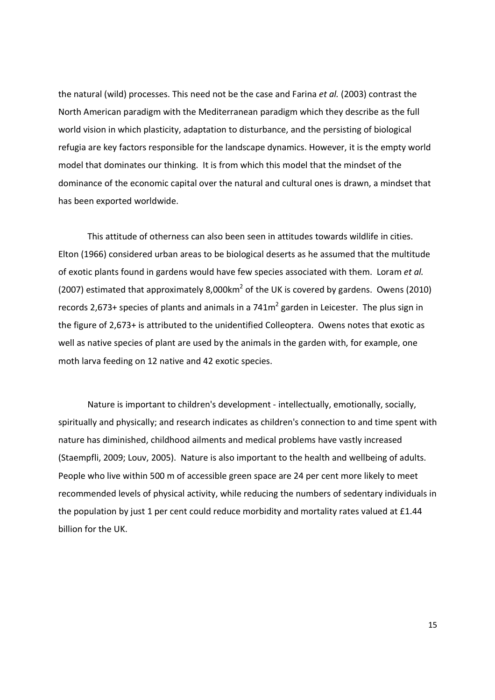the natural (wild) processes. This need not be the case and Farina et al. (2003) contrast the North American paradigm with the Mediterranean paradigm which they describe as the full world vision in which plasticity, adaptation to disturbance, and the persisting of biological refugia are key factors responsible for the landscape dynamics. However, it is the empty world model that dominates our thinking. It is from which this model that the mindset of the dominance of the economic capital over the natural and cultural ones is drawn, a mindset that has been exported worldwide.

This attitude of otherness can also been seen in attitudes towards wildlife in cities. Elton (1966) considered urban areas to be biological deserts as he assumed that the multitude of exotic plants found in gardens would have few species associated with them. Loram et al. (2007) estimated that approximately 8,000 km<sup>2</sup> of the UK is covered by gardens. Owens (2010) records 2,673+ species of plants and animals in a  $741m^2$  garden in Leicester. The plus sign in the figure of 2,673+ is attributed to the unidentified Colleoptera. Owens notes that exotic as well as native species of plant are used by the animals in the garden with, for example, one moth larva feeding on 12 native and 42 exotic species.

Nature is important to children's development - intellectually, emotionally, socially, spiritually and physically; and research indicates as children's connection to and time spent with nature has diminished, childhood ailments and medical problems have vastly increased (Staempfli, 2009; Louv, 2005). Nature is also important to the health and wellbeing of adults. People who live within 500 m of accessible green space are 24 per cent more likely to meet recommended levels of physical activity, while reducing the numbers of sedentary individuals in the population by just 1 per cent could reduce morbidity and mortality rates valued at £1.44 billion for the UK.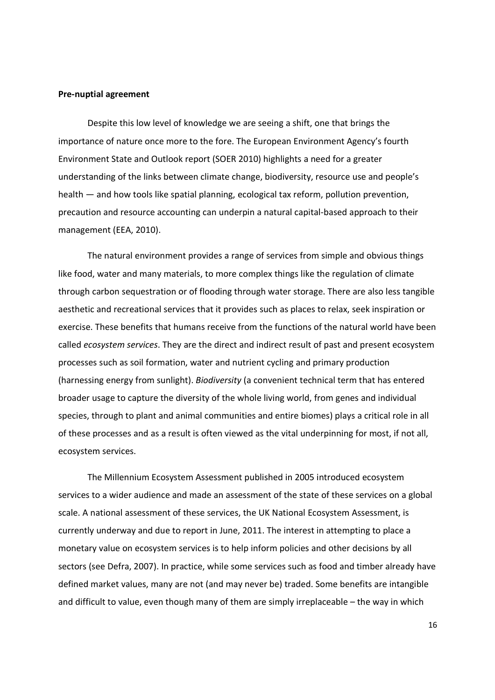#### **Pre-nuptial agreement**

Despite this low level of knowledge we are seeing a shift, one that brings the importance of nature once more to the fore. The European Environment Agency's fourth Environment State and Outlook report (SOER 2010) highlights a need for a greater understanding of the links between climate change, biodiversity, resource use and people's health - and how tools like spatial planning, ecological tax reform, pollution prevention, precaution and resource accounting can underpin a natural capital-based approach to their management (EEA, 2010).

The natural environment provides a range of services from simple and obvious things like food, water and many materials, to more complex things like the regulation of climate through carbon sequestration or of flooding through water storage. There are also less tangible aesthetic and recreational services that it provides such as places to relax, seek inspiration or exercise. These benefits that humans receive from the functions of the natural world have been called ecosystem services. They are the direct and indirect result of past and present ecosystem processes such as soil formation, water and nutrient cycling and primary production (harnessing energy from sunlight). Biodiversity (a convenient technical term that has entered broader usage to capture the diversity of the whole living world, from genes and individual species, through to plant and animal communities and entire biomes) plays a critical role in all of these processes and as a result is often viewed as the vital underpinning for most, if not all, ecosystem services.

The Millennium Ecosystem Assessment published in 2005 introduced ecosystem services to a wider audience and made an assessment of the state of these services on a global scale. A national assessment of these services, the UK National Ecosystem Assessment, is currently underway and due to report in June, 2011. The interest in attempting to place a monetary value on ecosystem services is to help inform policies and other decisions by all sectors (see Defra, 2007). In practice, while some services such as food and timber already have defined market values, many are not (and may never be) traded. Some benefits are intangible and difficult to value, even though many of them are simply irreplaceable – the way in which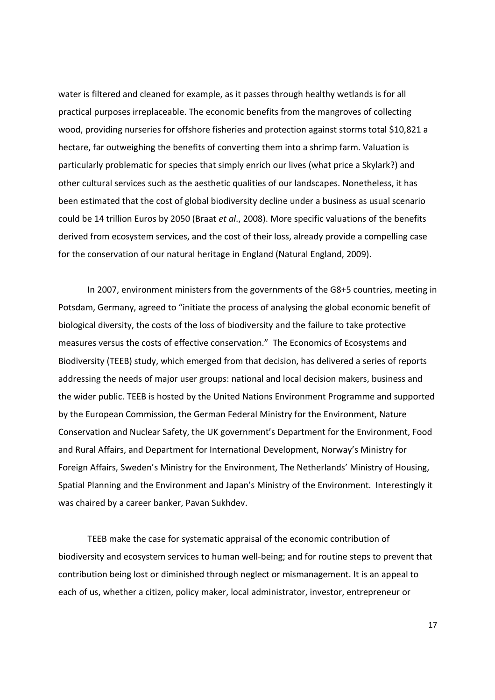water is filtered and cleaned for example, as it passes through healthy wetlands is for all practical purposes irreplaceable. The economic benefits from the mangroves of collecting wood, providing nurseries for offshore fisheries and protection against storms total \$10,821 a hectare, far outweighing the benefits of converting them into a shrimp farm. Valuation is particularly problematic for species that simply enrich our lives (what price a Skylark?) and other cultural services such as the aesthetic qualities of our landscapes. Nonetheless, it has been estimated that the cost of global biodiversity decline under a business as usual scenario could be 14 trillion Euros by 2050 (Braat et al., 2008). More specific valuations of the benefits derived from ecosystem services, and the cost of their loss, already provide a compelling case for the conservation of our natural heritage in England (Natural England, 2009).

In 2007, environment ministers from the governments of the G8+5 countries, meeting in Potsdam, Germany, agreed to "initiate the process of analysing the global economic benefit of biological diversity, the costs of the loss of biodiversity and the failure to take protective measures versus the costs of effective conservation." The Economics of Ecosystems and Biodiversity (TEEB) study, which emerged from that decision, has delivered a series of reports addressing the needs of major user groups: national and local decision makers, business and the wider public. TEEB is hosted by the United Nations Environment Programme and supported by the European Commission, the German Federal Ministry for the Environment, Nature Conservation and Nuclear Safety, the UK government's Department for the Environment, Food and Rural Affairs, and Department for International Development, Norway's Ministry for Foreign Affairs, Sweden's Ministry for the Environment, The Netherlands' Ministry of Housing, Spatial Planning and the Environment and Japan's Ministry of the Environment. Interestingly it was chaired by a career banker, Pavan Sukhdev.

TEEB make the case for systematic appraisal of the economic contribution of biodiversity and ecosystem services to human well-being; and for routine steps to prevent that contribution being lost or diminished through neglect or mismanagement. It is an appeal to each of us, whether a citizen, policy maker, local administrator, investor, entrepreneur or

 $17$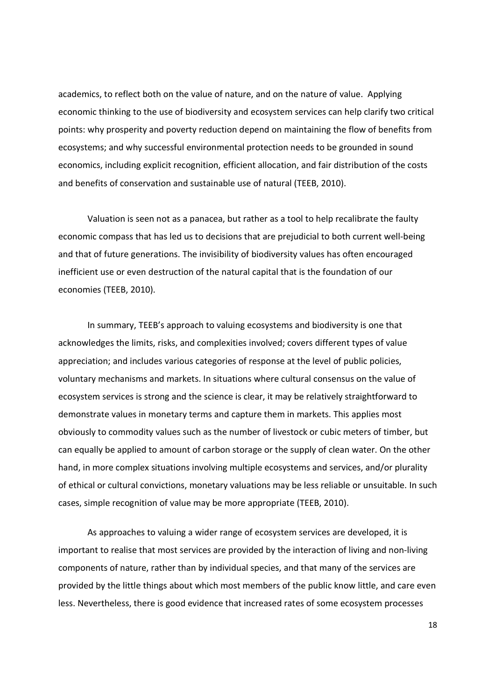academics, to reflect both on the value of nature, and on the nature of value. Applying economic thinking to the use of biodiversity and ecosystem services can help clarify two critical points: why prosperity and poverty reduction depend on maintaining the flow of benefits from ecosystems; and why successful environmental protection needs to be grounded in sound economics, including explicit recognition, efficient allocation, and fair distribution of the costs and benefits of conservation and sustainable use of natural (TEEB, 2010).

Valuation is seen not as a panacea, but rather as a tool to help recalibrate the faulty economic compass that has led us to decisions that are prejudicial to both current well-being and that of future generations. The invisibility of biodiversity values has often encouraged inefficient use or even destruction of the natural capital that is the foundation of our economies (TEEB, 2010).

In summary, TEEB's approach to valuing ecosystems and biodiversity is one that acknowledges the limits, risks, and complexities involved; covers different types of value appreciation; and includes various categories of response at the level of public policies, voluntary mechanisms and markets. In situations where cultural consensus on the value of ecosystem services is strong and the science is clear, it may be relatively straightforward to demonstrate values in monetary terms and capture them in markets. This applies most obviously to commodity values such as the number of livestock or cubic meters of timber, but can equally be applied to amount of carbon storage or the supply of clean water. On the other hand, in more complex situations involving multiple ecosystems and services, and/or plurality of ethical or cultural convictions, monetary valuations may be less reliable or unsuitable. In such cases, simple recognition of value may be more appropriate (TEEB, 2010).

As approaches to valuing a wider range of ecosystem services are developed, it is important to realise that most services are provided by the interaction of living and non-living components of nature, rather than by individual species, and that many of the services are provided by the little things about which most members of the public know little, and care even less. Nevertheless, there is good evidence that increased rates of some ecosystem processes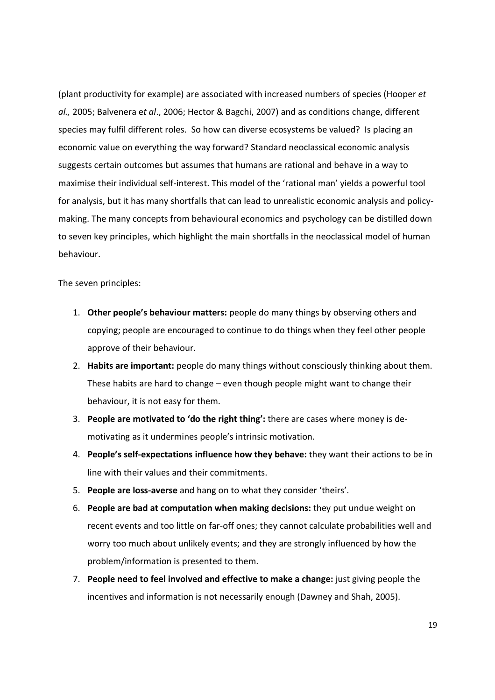(plant productivity for example) are associated with increased numbers of species (Hooper et al., 2005; Balvenera et al., 2006; Hector & Bagchi, 2007) and as conditions change, different species may fulfil different roles. So how can diverse ecosystems be valued? Is placing an economic value on everything the way forward? Standard neoclassical economic analysis suggests certain outcomes but assumes that humans are rational and behave in a way to maximise their individual self-interest. This model of the 'rational man' yields a powerful tool for analysis, but it has many shortfalls that can lead to unrealistic economic analysis and policymaking. The many concepts from behavioural economics and psychology can be distilled down to seven key principles, which highlight the main shortfalls in the neoclassical model of human behaviour.

The seven principles:

- 1. Other people's behaviour matters: people do many things by observing others and copying; people are encouraged to continue to do things when they feel other people approve of their behaviour.
- 2. Habits are important: people do many things without consciously thinking about them. These habits are hard to change - even though people might want to change their behaviour, it is not easy for them.
- 3. People are motivated to 'do the right thing': there are cases where money is demotivating as it undermines people's intrinsic motivation.
- 4. People's self-expectations influence how they behave: they want their actions to be in line with their values and their commitments.
- 5. People are loss-averse and hang on to what they consider 'theirs'.
- 6. People are bad at computation when making decisions: they put undue weight on recent events and too little on far-off ones; they cannot calculate probabilities well and worry too much about unlikely events; and they are strongly influenced by how the problem/information is presented to them.
- 7. People need to feel involved and effective to make a change: just giving people the incentives and information is not necessarily enough (Dawney and Shah, 2005).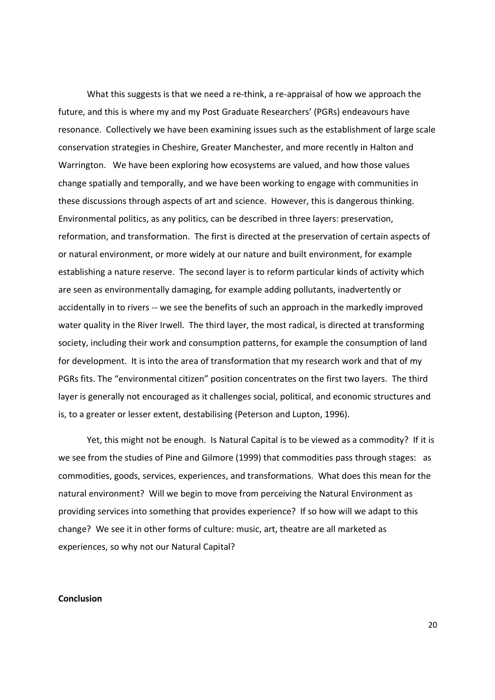What this suggests is that we need a re-think, a re-appraisal of how we approach the future, and this is where my and my Post Graduate Researchers' (PGRs) endeavours have resonance. Collectively we have been examining issues such as the establishment of large scale conservation strategies in Cheshire, Greater Manchester, and more recently in Halton and Warrington. We have been exploring how ecosystems are valued, and how those values change spatially and temporally, and we have been working to engage with communities in these discussions through aspects of art and science. However, this is dangerous thinking. Environmental politics, as any politics, can be described in three layers: preservation, reformation, and transformation. The first is directed at the preservation of certain aspects of or natural environment, or more widely at our nature and built environment, for example establishing a nature reserve. The second layer is to reform particular kinds of activity which are seen as environmentally damaging, for example adding pollutants, inadvertently or accidentally in to rivers -- we see the benefits of such an approach in the markedly improved water quality in the River Irwell. The third layer, the most radical, is directed at transforming society, including their work and consumption patterns, for example the consumption of land for development. It is into the area of transformation that my research work and that of my PGRs fits. The "environmental citizen" position concentrates on the first two layers. The third layer is generally not encouraged as it challenges social, political, and economic structures and is, to a greater or lesser extent, destabilising (Peterson and Lupton, 1996).

Yet, this might not be enough. Is Natural Capital is to be viewed as a commodity? If it is we see from the studies of Pine and Gilmore (1999) that commodities pass through stages: as commodities, goods, services, experiences, and transformations. What does this mean for the natural environment? Will we begin to move from perceiving the Natural Environment as providing services into something that provides experience? If so how will we adapt to this change? We see it in other forms of culture: music, art, theatre are all marketed as experiences, so why not our Natural Capital?

#### **Conclusion**

 $20<sup>2</sup>$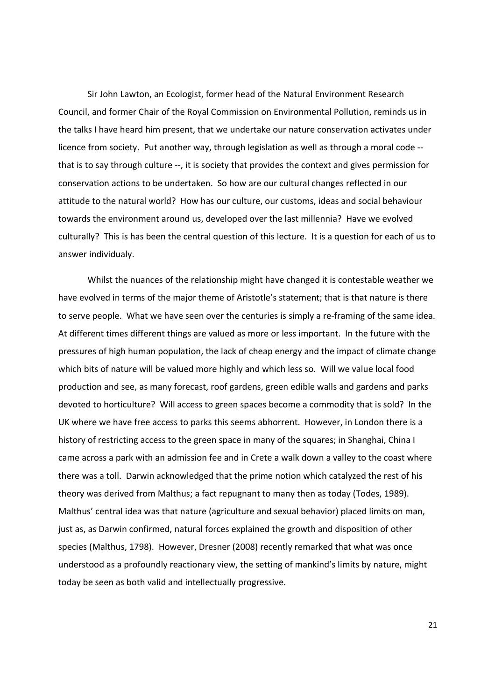Sir John Lawton, an Ecologist, former head of the Natural Environment Research Council, and former Chair of the Royal Commission on Environmental Pollution, reminds us in the talks I have heard him present, that we undertake our nature conservation activates under licence from society. Put another way, through legislation as well as through a moral code -that is to say through culture --, it is society that provides the context and gives permission for conservation actions to be undertaken. So how are our cultural changes reflected in our attitude to the natural world? How has our culture, our customs, ideas and social behaviour towards the environment around us, developed over the last millennia? Have we evolved culturally? This is has been the central question of this lecture. It is a question for each of us to answer individualy.

Whilst the nuances of the relationship might have changed it is contestable weather we have evolved in terms of the major theme of Aristotle's statement; that is that nature is there to serve people. What we have seen over the centuries is simply a re-framing of the same idea. At different times different things are valued as more or less important. In the future with the pressures of high human population, the lack of cheap energy and the impact of climate change which bits of nature will be valued more highly and which less so. Will we value local food production and see, as many forecast, roof gardens, green edible walls and gardens and parks devoted to horticulture? Will access to green spaces become a commodity that is sold? In the UK where we have free access to parks this seems abhorrent. However, in London there is a history of restricting access to the green space in many of the squares; in Shanghai, China I came across a park with an admission fee and in Crete a walk down a valley to the coast where there was a toll. Darwin acknowledged that the prime notion which catalyzed the rest of his theory was derived from Malthus; a fact repugnant to many then as today (Todes, 1989). Malthus' central idea was that nature (agriculture and sexual behavior) placed limits on man, just as, as Darwin confirmed, natural forces explained the growth and disposition of other species (Malthus, 1798). However, Dresner (2008) recently remarked that what was once understood as a profoundly reactionary view, the setting of mankind's limits by nature, might today be seen as both valid and intellectually progressive.

 $21$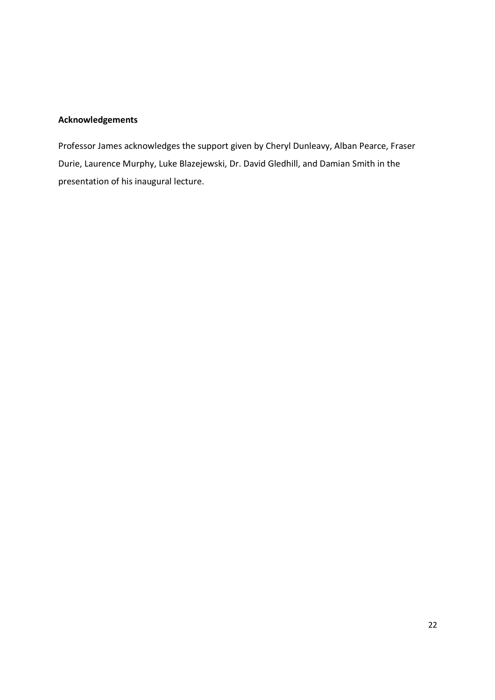### **Acknowledgements**

Professor James acknowledges the support given by Cheryl Dunleavy, Alban Pearce, Fraser Durie, Laurence Murphy, Luke Blazejewski, Dr. David Gledhill, and Damian Smith in the presentation of his inaugural lecture.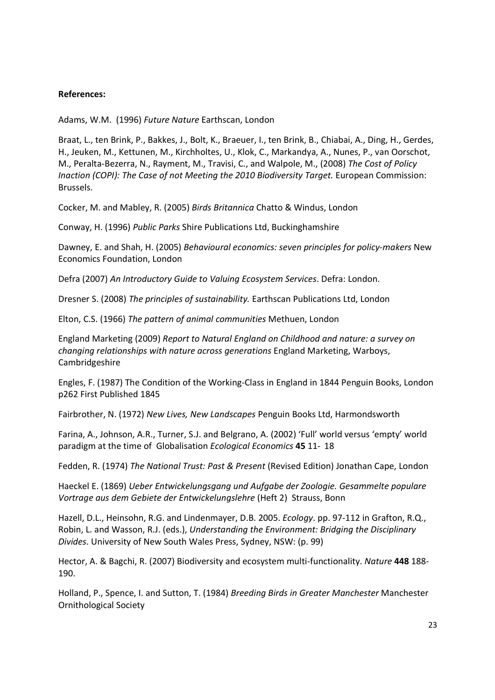### **References:**

Adams, W.M. (1996) Future Nature Earthscan, London

Braat, L., ten Brink, P., Bakkes, J., Bolt, K., Braeuer, I., ten Brink, B., Chiabai, A., Ding, H., Gerdes, H., Jeuken, M., Kettunen, M., Kirchholtes, U., Klok, C., Markandya, A., Nunes, P., van Oorschot, M., Peralta-Bezerra, N., Rayment, M., Travisi, C., and Walpole, M., (2008) The Cost of Policy Inaction (COPI): The Case of not Meeting the 2010 Biodiversity Target. European Commission: Brussels.

Cocker, M. and Mabley, R. (2005) Birds Britannica Chatto & Windus, London

Conway, H. (1996) Public Parks Shire Publications Ltd, Buckinghamshire

Dawney, E. and Shah, H. (2005) Behavioural economics: seven principles for policy-makers New Economics Foundation, London

Defra (2007) An Introductory Guide to Valuing Ecosystem Services. Defra: London.

Dresner S. (2008) The principles of sustainability. Earthscan Publications Ltd, London

Elton, C.S. (1966) The pattern of animal communities Methuen, London

England Marketing (2009) Report to Natural England on Childhood and nature: a survey on changing relationships with nature across generations England Marketing, Warboys, Cambridgeshire

Engles, F. (1987) The Condition of the Working-Class in England in 1844 Penguin Books, London p262 First Published 1845

Fairbrother, N. (1972) New Lives, New Landscapes Penguin Books Ltd, Harmondsworth

Farina, A., Johnson, A.R., Turner, S.J. and Belgrano, A. (2002) 'Full' world versus 'empty' world paradigm at the time of Globalisation Ecological Economics 45 11-18

Fedden, R. (1974) The National Trust: Past & Present (Revised Edition) Jonathan Cape, London

Haeckel E. (1869) Ueber Entwickelungsgang und Aufgabe der Zoologie. Gesammelte populare Vortrage aus dem Gebiete der Entwickelungslehre (Heft 2) Strauss, Bonn

Hazell, D.L., Heinsohn, R.G. and Lindenmayer, D.B. 2005. Ecology. pp. 97-112 in Grafton, R.Q., Robin, L. and Wasson, R.J. (eds.), Understanding the Environment: Bridging the Disciplinary Divides. University of New South Wales Press, Sydney, NSW: (p. 99)

Hector, A. & Bagchi, R. (2007) Biodiversity and ecosystem multi-functionality. Nature 448 188-190.

Holland, P., Spence, I. and Sutton, T. (1984) Breeding Birds in Greater Manchester Manchester **Ornithological Society**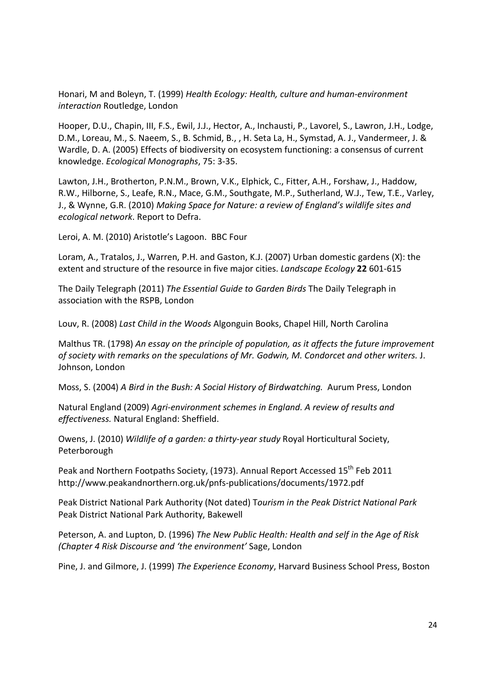Honari, M and Boleyn, T. (1999) Health Ecology: Health, culture and human-environment interaction Routledge, London

Hooper, D.U., Chapin, III, F.S., Ewil, J.J., Hector, A., Inchausti, P., Lavorel, S., Lawron, J.H., Lodge, D.M., Loreau, M., S. Naeem, S., B. Schmid, B., , H. Seta La, H., Symstad, A. J., Vandermeer, J. & Wardle, D. A. (2005) Effects of biodiversity on ecosystem functioning: a consensus of current knowledge. Ecological Monographs, 75: 3-35.

Lawton, J.H., Brotherton, P.N.M., Brown, V.K., Elphick, C., Fitter, A.H., Forshaw, J., Haddow, R.W., Hilborne, S., Leafe, R.N., Mace, G.M., Southgate, M.P., Sutherland, W.J., Tew, T.E., Varley, J., & Wynne, G.R. (2010) Making Space for Nature: a review of England's wildlife sites and ecological network. Report to Defra.

Leroi, A. M. (2010) Aristotle's Lagoon. BBC Four

Loram, A., Tratalos, J., Warren, P.H. and Gaston, K.J. (2007) Urban domestic gardens (X): the extent and structure of the resource in five major cities. Landscape Ecology 22 601-615

The Daily Telegraph (2011) The Essential Guide to Garden Birds The Daily Telegraph in association with the RSPB, London

Louv. R. (2008) Last Child in the Woods Algonguin Books. Chapel Hill. North Carolina

Malthus TR. (1798) An essay on the principle of population, as it affects the future improvement of society with remarks on the speculations of Mr. Godwin, M. Condorcet and other writers. J. Johnson, London

Moss, S. (2004) A Bird in the Bush: A Social History of Birdwatching. Aurum Press, London

Natural England (2009) Agri-environment schemes in England. A review of results and effectiveness. Natural England: Sheffield.

Owens, J. (2010) Wildlife of a garden: a thirty-year study Royal Horticultural Society, Peterborough

Peak and Northern Footpaths Society, (1973). Annual Report Accessed 15<sup>th</sup> Feb 2011 http://www.peakandnorthern.org.uk/pnfs-publications/documents/1972.pdf

Peak District National Park Authority (Not dated) Tourism in the Peak District National Park Peak District National Park Authority, Bakewell

Peterson, A. and Lupton, D. (1996) The New Public Health: Health and self in the Age of Risk (Chapter 4 Risk Discourse and 'the environment' Sage, London

Pine, J. and Gilmore, J. (1999) The Experience Economy, Harvard Business School Press, Boston